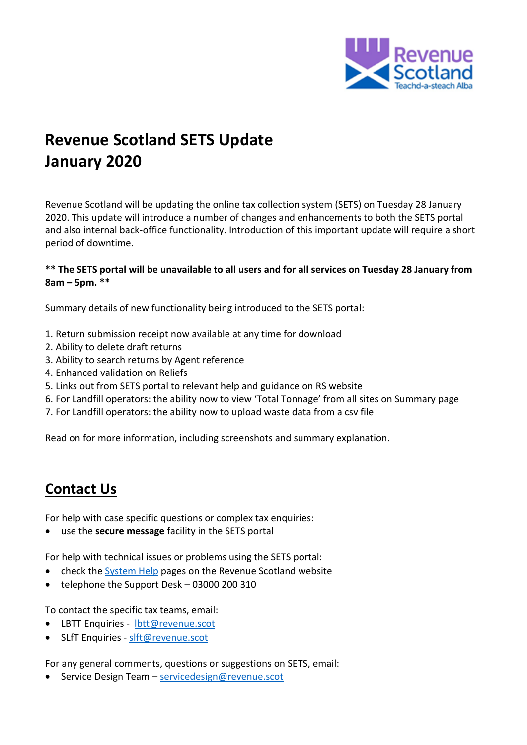

# **Revenue Scotland SETS Update January 2020**

Revenue Scotland will be updating the online tax collection system (SETS) on Tuesday 28 January 2020. This update will introduce a number of changes and enhancements to both the SETS portal and also internal back-office functionality. Introduction of this important update will require a short period of downtime.

#### **\*\* The SETS portal will be unavailable to all users and for all services on Tuesday 28 January from 8am – 5pm. \*\***

Summary details of new functionality being introduced to the SETS portal:

- 1. Return submission receipt now available at any time for download
- 2. Ability to delete draft returns
- 3. Ability to search returns by Agent reference
- 4. Enhanced validation on Reliefs
- 5. Links out from SETS portal to relevant help and guidance on RS website
- 6. For Landfill operators: the ability now to view 'Total Tonnage' from all sites on Summary page
- 7. For Landfill operators: the ability now to upload waste data from a csv file

Read on for more information, including screenshots and summary explanation.

## **Contact Us**

For help with case specific questions or complex tax enquiries:

use the **secure message** facility in the SETS portal

For help with technical issues or problems using the SETS portal:

- check the [System Help](https://www.revenue.scot/support/system-help) pages on the Revenue Scotland website
- telephone the Support Desk 03000 200 310

To contact the specific tax teams, email:

- LBTT Enquiries [lbtt@revenue.scot](mailto:lbtt@revenue.scot)
- SLfT Enquiries [slft@revenue.scot](mailto:slft@revenue.scot)

For any general comments, questions or suggestions on SETS, email:

• Service Design Team – [servicedesign@revenue.scot](mailto:servicedesign@revenue.scot)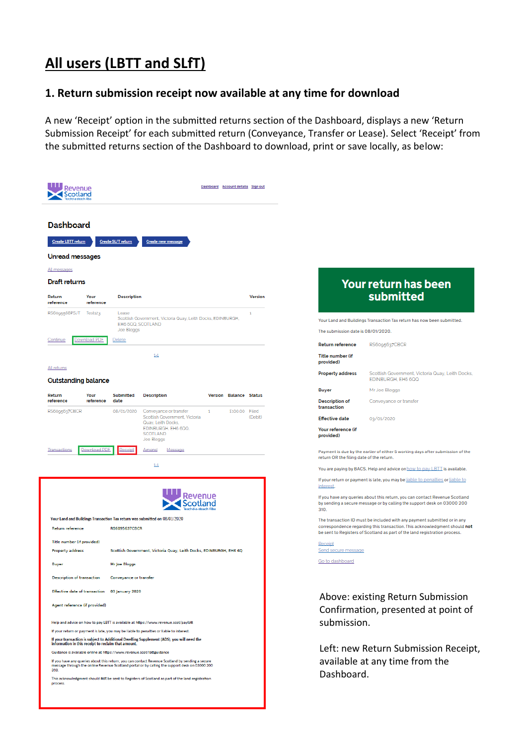# **All users (LBTT and SLfT)**

### **1. Return submission receipt now available at any time for download**

A new 'Receipt' option in the submitted returns section of the Dashboard, displays a new 'Return Submission Receipt' for each submitted return (Conveyance, Transfer or Lease). Select 'Receipt' from the submitted returns section of the Dashboard to download, print or save locally, as below:

|                                                                                                                                                                                                                           |                                                                                             |                                                                                                  | Dashboard Account details Sign out |  |                                                                          |                                                                                                                                                                                                                                     |                                                                                                                                                                                                                                          |  |
|---------------------------------------------------------------------------------------------------------------------------------------------------------------------------------------------------------------------------|---------------------------------------------------------------------------------------------|--------------------------------------------------------------------------------------------------|------------------------------------|--|--------------------------------------------------------------------------|-------------------------------------------------------------------------------------------------------------------------------------------------------------------------------------------------------------------------------------|------------------------------------------------------------------------------------------------------------------------------------------------------------------------------------------------------------------------------------------|--|
| <b>Dashboard</b><br><b>Create LBTT return</b><br>Unread messages<br>All messages<br><b>Draft returns</b><br>Return<br>Your<br>reference<br>reference<br>RS6095568PSJT<br>Test123                                          | <b>Create SLfT return</b><br><b>Description</b><br>Lease<br>EH6 6QQ, SCOTLAND<br>Joe Bloggs | Create new message<br>Scottish Government, Victoria Quay, Leith Docks, EDINBURGH,                |                                    |  | Version<br>1                                                             | The submission date is 08/01/2020.                                                                                                                                                                                                  | <b>Your return has been</b><br>submitted<br>Your Land and Buildings Transaction Tax return has now been submitted.                                                                                                                       |  |
| <b>Download PDF</b><br>ontinue:                                                                                                                                                                                           | Delete                                                                                      |                                                                                                  |                                    |  |                                                                          | <b>Return reference</b>                                                                                                                                                                                                             | RS6095637CBCR                                                                                                                                                                                                                            |  |
|                                                                                                                                                                                                                           |                                                                                             | $1 - 1$                                                                                          |                                    |  |                                                                          | <b>Title number (if</b>                                                                                                                                                                                                             |                                                                                                                                                                                                                                          |  |
| All returns                                                                                                                                                                                                               |                                                                                             |                                                                                                  |                                    |  |                                                                          | provided)<br><b>Property address</b>                                                                                                                                                                                                | Scottish Government, Victoria Quay, Leith Docks,                                                                                                                                                                                         |  |
| <b>Outstanding balance</b>                                                                                                                                                                                                |                                                                                             |                                                                                                  |                                    |  |                                                                          | <b>Buyer</b>                                                                                                                                                                                                                        | EDINBURGH, EH6 6QQ<br>Mr Joe Bloggs                                                                                                                                                                                                      |  |
| Return<br>Your<br>reference<br>reference                                                                                                                                                                                  | <b>Submitted</b><br>date                                                                    | <b>Description</b>                                                                               | Version Balance Status             |  |                                                                          | <b>Description of</b><br>transaction                                                                                                                                                                                                | Conveyance or transfer                                                                                                                                                                                                                   |  |
| RS6095637CBCR                                                                                                                                                                                                             | 08/01/2020                                                                                  | Conveyance or transfer<br>Scottish Government, Victoria<br>Quay, Leith Docks,                    | $\mathbf{1}$                       |  | £100.00 Filed<br>(Debit)                                                 | <b>Effective date</b>                                                                                                                                                                                                               | 03/01/2020                                                                                                                                                                                                                               |  |
| Download PDF<br>ransactions                                                                                                                                                                                               |                                                                                             | EDINBURGH, EH6 6QQ,<br>SCOTLAND<br>Joe Bloggs<br>Amend<br>Message<br>$1 - 1$                     |                                    |  |                                                                          | Your reference (if<br>provided)<br>return OR the filing date of the return.                                                                                                                                                         | Payment is due by the earlier of either 5 working days after submission of the<br>You are paying by BACS. Help and advice on how to pay LBTT is available.                                                                               |  |
|                                                                                                                                                                                                                           |                                                                                             |                                                                                                  |                                    |  |                                                                          | interest.<br>310.                                                                                                                                                                                                                   | If your return or payment is late, you may be liable to penalties or liable to<br>If you have any queries about this return, you can contact Revenue Scotland<br>by sending a secure message or by calling the support desk on 03000 200 |  |
| Your Land and Buildings Transaction Tax return was submitted on 08/01/2020<br><b>Return reference</b>                                                                                                                     | <b>RS6095637CBCR</b>                                                                        |                                                                                                  |                                    |  |                                                                          | The transaction ID must be included with any payment submitted or in any<br>correspondence regarding this transaction. This acknowledgment should not<br>be sent to Registers of Scotland as part of the land registration process. |                                                                                                                                                                                                                                          |  |
| Title number (if provided)                                                                                                                                                                                                |                                                                                             |                                                                                                  |                                    |  | Receipt<br>Send secure message                                           |                                                                                                                                                                                                                                     |                                                                                                                                                                                                                                          |  |
| Scottish Government, Victoria Quay, Leith Docks, EDINBURGH, EH6 6Q<br><b>Property address</b><br><b>Buyer</b><br>Mr Joe Bloggs                                                                                            |                                                                                             |                                                                                                  |                                    |  | Go to dashboard                                                          |                                                                                                                                                                                                                                     |                                                                                                                                                                                                                                          |  |
| <b>Description of transaction</b>                                                                                                                                                                                         | <b>Conveyance or transfer</b>                                                               |                                                                                                  |                                    |  |                                                                          |                                                                                                                                                                                                                                     |                                                                                                                                                                                                                                          |  |
| Effective date of transaction 03 January 2020                                                                                                                                                                             |                                                                                             |                                                                                                  |                                    |  |                                                                          |                                                                                                                                                                                                                                     |                                                                                                                                                                                                                                          |  |
| Agent reference (if provided)                                                                                                                                                                                             |                                                                                             |                                                                                                  |                                    |  | Above: existing Return Submission<br>Confirmation, presented at point of |                                                                                                                                                                                                                                     |                                                                                                                                                                                                                                          |  |
| Help and advice on how to pay LBTT is available at https://www.revenue.scot/paylbtt<br>If your return or payment is late, you may be liable to penalties or liable to interest.                                           |                                                                                             |                                                                                                  |                                    |  | submission.                                                              |                                                                                                                                                                                                                                     |                                                                                                                                                                                                                                          |  |
| If your transaction is subject to Additional Dwelling Supplement (ADS), you will need the<br>information in this receipt to reclaim that amount.<br>Guidance is available online at https://www.revenue.scot/lbttguidance |                                                                                             |                                                                                                  |                                    |  | Left: new Return Submission Receipt,                                     |                                                                                                                                                                                                                                     |                                                                                                                                                                                                                                          |  |
| If you have any queries about this return, you can contact Revenue Scotland by sending a secure<br>message through the online Revenue Scotland portal or by calling the support desk on 03000 200<br>310                  |                                                                                             |                                                                                                  |                                    |  | Dashboard.                                                               | available at any time from the                                                                                                                                                                                                      |                                                                                                                                                                                                                                          |  |
| process.                                                                                                                                                                                                                  |                                                                                             | This acknowledgment should not be sent to Registers of Scotland as part of the land registration |                                    |  |                                                                          |                                                                                                                                                                                                                                     |                                                                                                                                                                                                                                          |  |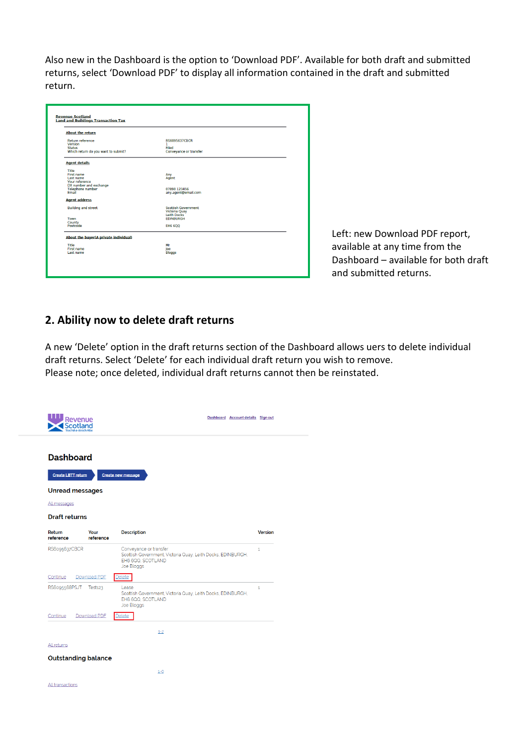Also new in the Dashboard is the option to 'Download PDF'. Available for both draft and submitted returns, select 'Download PDF' to display all information contained in the draft and submitted return.

| <b>About the return</b>               |                            |  |
|---------------------------------------|----------------------------|--|
| <b>Return reference</b>               | <b>RS6095637CBCR</b>       |  |
| Version<br><b>Status</b>              | n.<br>Filed                |  |
| Which return do you want to submit?   | Conveyance or transfer     |  |
| <b>Agent details</b>                  |                            |  |
| Title                                 |                            |  |
| First name                            | Any                        |  |
| Last name<br>Your reference           | Agent                      |  |
| DX number and exchange                |                            |  |
| <b>Telephone number</b>               | 07890 123456               |  |
| Email                                 | any.agent@email.com        |  |
| <b>Agent address</b>                  |                            |  |
| <b>Building and street</b>            | <b>Scottish Government</b> |  |
|                                       | Victoria Quay              |  |
|                                       | <b>Leith Docks</b>         |  |
| Town                                  | <b>EDINBURGH</b>           |  |
| County<br>Postcode                    | EH6 6QQ                    |  |
| About the buyer(A private individual) |                            |  |
| Title                                 | Mr                         |  |
| First name                            | Joe                        |  |
| Last name                             | <b>Bloggs</b>              |  |

Left: new Download PDF report, available at any time from the Dashboard – available for both draft and submitted returns.

### **2. Ability now to delete draft returns**

A new 'Delete' option in the draft returns section of the Dashboard allows uers to delete individual draft returns. Select 'Delete' for each individual draft return you wish to remove. Please note; once deleted, individual draft returns cannot then be reinstated.

| Revenue                                                                                                         | Dashboard Account details Sign out                                                                                       |                |
|-----------------------------------------------------------------------------------------------------------------|--------------------------------------------------------------------------------------------------------------------------|----------------|
| <b>Dashboard</b><br><b>Create LBTT return</b><br><b>Unread messages</b><br>All messages<br><b>Draft returns</b> | <b>Create new message</b>                                                                                                |                |
| Return<br>Your<br>reference<br>reference                                                                        | <b>Description</b>                                                                                                       | <b>Version</b> |
| RS6095637CBCR                                                                                                   | Conveyance or transfer<br>Scottish Government, Victoria Quay, Leith Docks, EDINBURGH,<br>EH6 6QQ, SCOTLAND<br>Joe Bloggs | $\mathbf{1}$   |
| Continue<br>Download PDF                                                                                        | elete                                                                                                                    |                |
| RS6095568PSJT<br>Test <sub>123</sub>                                                                            | Lease<br>Scottish Government, Victoria Quay, Leith Docks, EDINBURGH,<br>EH6 6QQ, SCOTLAND<br>Joe Bloggs                  | 1              |
| Continue<br>Download PDF                                                                                        | Delete                                                                                                                   |                |
|                                                                                                                 | $1 - 2$                                                                                                                  |                |
| <b>All returns</b>                                                                                              |                                                                                                                          |                |
| <b>Outstanding balance</b>                                                                                      |                                                                                                                          |                |
|                                                                                                                 | $1 - 0$                                                                                                                  |                |
| All transactions                                                                                                |                                                                                                                          |                |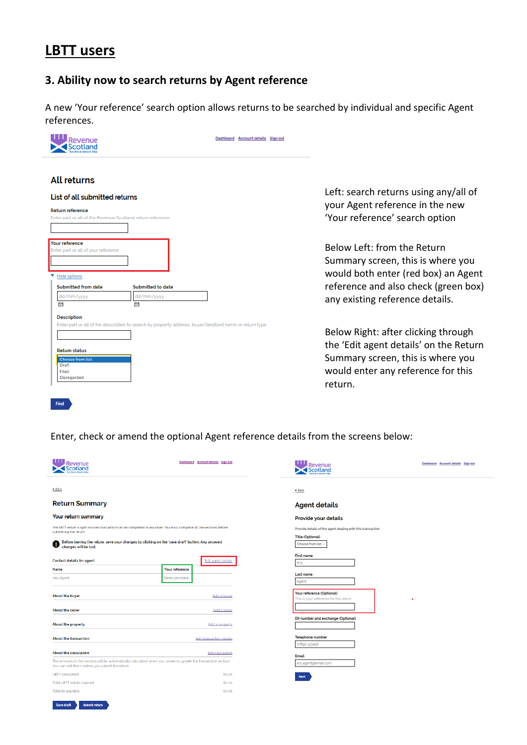# **LBTT users**

### **3. Ability now to search returns by Agent reference**

A new 'Your reference' search option allows returns to be searched by individual and specific Agent references.

| Dashboard Account details Sign out                                                                                                                                                                                              |                                                                                                                                                                                    |
|---------------------------------------------------------------------------------------------------------------------------------------------------------------------------------------------------------------------------------|------------------------------------------------------------------------------------------------------------------------------------------------------------------------------------|
| <b>All returns</b><br>List of all submitted returns<br><b>Return reference</b><br>Enter part or all of the Revenue Scotland return reference                                                                                    | Left: search returns using any/all of<br>your Agent reference in the new<br>'Your reference' search option                                                                         |
| <b>Your reference</b><br>Enter part or all of your reference<br>Hide options<br><b>Submitted from date</b><br><b>Submitted to date</b><br>dd/mm/yyyy<br>dd/mm/yyyy<br>崗<br>贔                                                    | Below Left: from the Return<br>Summary screen, this is where you<br>would both enter (red box) an Agent<br>reference and also check (green box)<br>any existing reference details. |
| <b>Description</b><br>Enter part or all of the description to search by property address, buyer/landlord name or return type<br><b>Return status</b><br><b>Choose from list</b><br>Draft<br>Filed<br>Disregarded<br><b>Find</b> | Below Right: after clicking through<br>the 'Edit agent details' on the Return<br>Summary screen, this is where you<br>would enter any reference for this<br>return.                |

Enter, check or amend the optional Agent reference details from the screens below:

| Revenue<br>cotland                                                                                                                                                 | Dashboard Account details Sign out | <b>Revenue</b><br><b>Scotland</b>                                   | Dashboard Account details Sign out |
|--------------------------------------------------------------------------------------------------------------------------------------------------------------------|------------------------------------|---------------------------------------------------------------------|------------------------------------|
| + Back                                                                                                                                                             |                                    | 4 Back                                                              |                                    |
| <b>Return Summary</b>                                                                                                                                              |                                    | <b>Agent details</b>                                                |                                    |
| Your return summary                                                                                                                                                |                                    | Provide your details                                                |                                    |
| The LBTT return is split into sections which can be completed in any order. You must complete all the sections before<br>submitting the return.                    |                                    | Provide details of the agent dealing with this transaction          |                                    |
| Before leaving the return, save your changes by clicking on the 'save draft' button. Any unsaved<br>ø<br>changes will be lost.                                     |                                    | <b>Title (Optional)</b><br>Choose from list                         |                                    |
| <b>Contact details for agent</b>                                                                                                                                   | <b>Edit agent details</b>          | <b>First name</b><br>Any                                            |                                    |
| <b>Name</b>                                                                                                                                                        | <b>Your reference</b>              |                                                                     |                                    |
| Any Agent                                                                                                                                                          | None provided                      | Last name<br>Agent                                                  |                                    |
| <b>About the buyer</b>                                                                                                                                             | Add a buver                        | Your reference (Optional)<br>This is your reference for this return | ٠                                  |
| <b>About the seller</b>                                                                                                                                            | Add a seller                       |                                                                     |                                    |
| About the property                                                                                                                                                 | Add a property                     | DX number and exchange (Optional)                                   |                                    |
| <b>About the transaction</b>                                                                                                                                       | <b>Add transaction details</b>     | Telephone number<br>07890 123456                                    |                                    |
| <b>About the calculation</b>                                                                                                                                       | Edit calculation                   | Email                                                               |                                    |
| The amounts in this section will be automatically calculated when you create or update the transaction section.<br>You can edit them before you submit the return. |                                    | any.agent@email.com                                                 |                                    |
| <b>LBTT</b> calculated                                                                                                                                             | £0.00                              | Next                                                                |                                    |
| Total LBTT reliefs claimed                                                                                                                                         | £0.00                              |                                                                     |                                    |
| Total tax payable                                                                                                                                                  | £0.00                              |                                                                     |                                    |

Save draft submit return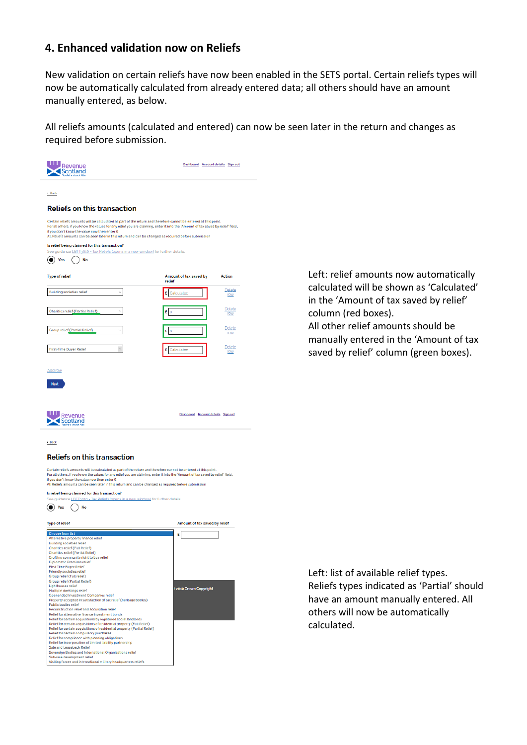#### **4. Enhanced validation now on Reliefs**

New validation on certain reliefs have now been enabled in the SETS portal. Certain reliefs types will now be automatically calculated from already entered data; all others should have an amount manually entered, as below.

All reliefs amounts (calculated and entered) can now be seen later in the return and changes as required before submission.

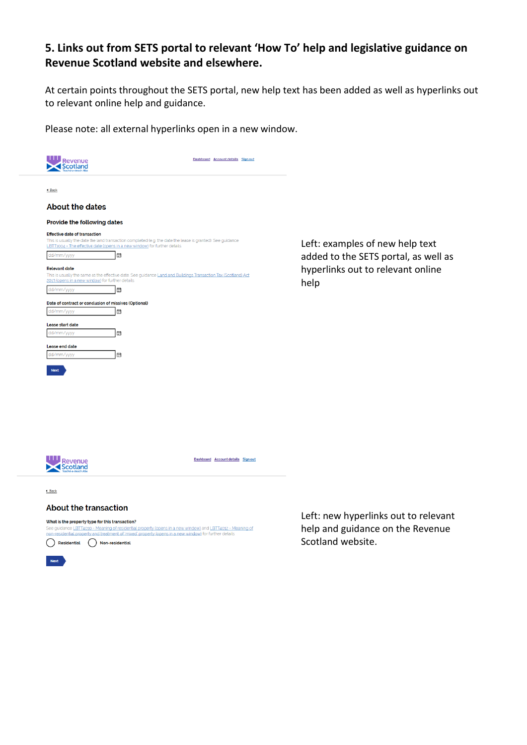### **5. Links out from SETS portal to relevant 'How To' help and legislative guidance on Revenue Scotland website and elsewhere.**

At certain points throughout the SETS portal, new help text has been added as well as hyperlinks out to relevant online help and guidance.

Please note: all external hyperlinks open in a new window.





Dashboard Account details Sign out

 $\triangleleft$  Back

#### **About the transaction**

What is the property type for this transaction?

See guidance LBTT4010 - Meaning of residential property (opens in a new window) and LBTT4012 - Meaning of<br>non-residential property and treatment of 'mixed' property (opens in a new window) for further details  $\bigcirc$  Residential  $\bigcirc$  Non-residential

Left: new hyperlinks out to relevant help and guidance on the Revenue Scotland website.